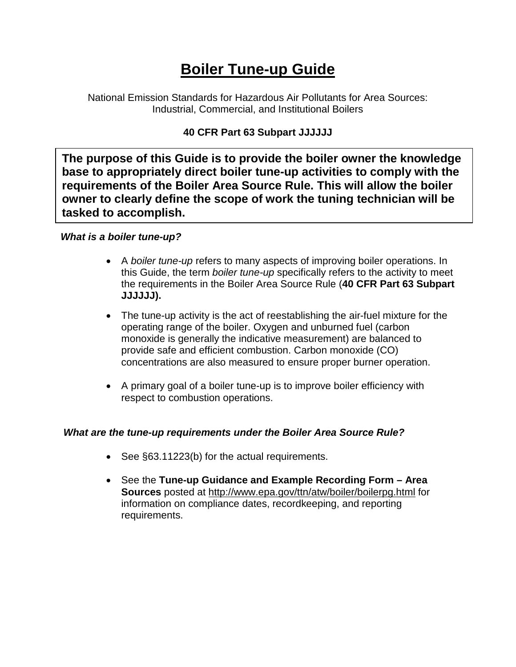# **Boiler Tune-up Guide**

National Emission Standards for Hazardous Air Pollutants for Area Sources: Industrial, Commercial, and Institutional Boilers

# **40 CFR Part 63 Subpart JJJJJJ**

**The purpose of this Guide is to provide the boiler owner the knowledge base to appropriately direct boiler tune-up activities to comply with the requirements of the Boiler Area Source Rule. This will allow the boiler owner to clearly define the scope of work the tuning technician will be tasked to accomplish.**

# *What is a boiler tune-up?*

- A *boiler tune-up* refers to many aspects of improving boiler operations. In this Guide, the term *boiler tune-up* specifically refers to the activity to meet the requirements in the Boiler Area Source Rule (**40 CFR Part 63 Subpart JJJJJJ).**
- The tune-up activity is the act of reestablishing the air-fuel mixture for the operating range of the boiler. Oxygen and unburned fuel (carbon monoxide is generally the indicative measurement) are balanced to provide safe and efficient combustion. Carbon monoxide (CO) concentrations are also measured to ensure proper burner operation.
- A primary goal of a boiler tune-up is to improve boiler efficiency with respect to combustion operations.

# *What are the tune-up requirements under the Boiler Area Source Rule?*

- See §63.11223(b) for the actual requirements.
- See the **Tune-up Guidance and Example Recording Form – Area Sources** posted at http://www.epa.gov/ttn/atw/boiler/boilerpg.html for information on compliance dates, recordkeeping, and reporting requirements.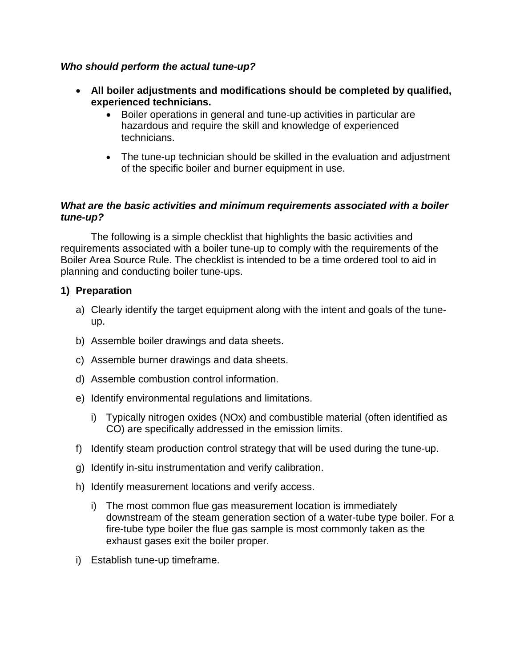#### *Who should perform the actual tune-up?*

- **All boiler adjustments and modifications should be completed by qualified, experienced technicians.**
	- Boiler operations in general and tune-up activities in particular are hazardous and require the skill and knowledge of experienced technicians.
	- The tune-up technician should be skilled in the evaluation and adjustment of the specific boiler and burner equipment in use.

#### *What are the basic activities and minimum requirements associated with a boiler tune-up?*

The following is a simple checklist that highlights the basic activities and requirements associated with a boiler tune-up to comply with the requirements of the Boiler Area Source Rule. The checklist is intended to be a time ordered tool to aid in planning and conducting boiler tune-ups.

#### **1) Preparation**

- a) Clearly identify the target equipment along with the intent and goals of the tuneup.
- b) Assemble boiler drawings and data sheets.
- c) Assemble burner drawings and data sheets.
- d) Assemble combustion control information.
- e) Identify environmental regulations and limitations.
	- i) Typically nitrogen oxides (NOx) and combustible material (often identified as CO) are specifically addressed in the emission limits.
- f) Identify steam production control strategy that will be used during the tune-up.
- g) Identify in-situ instrumentation and verify calibration.
- h) Identify measurement locations and verify access.
	- i) The most common flue gas measurement location is immediately downstream of the steam generation section of a water-tube type boiler. For a fire-tube type boiler the flue gas sample is most commonly taken as the exhaust gases exit the boiler proper.
- i) Establish tune-up timeframe.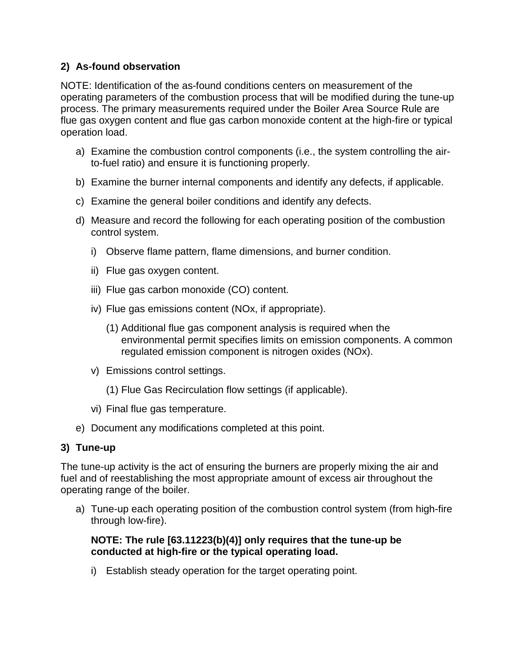# **2) As-found observation**

NOTE: Identification of the as-found conditions centers on measurement of the operating parameters of the combustion process that will be modified during the tune-up process. The primary measurements required under the Boiler Area Source Rule are flue gas oxygen content and flue gas carbon monoxide content at the high-fire or typical operation load.

- a) Examine the combustion control components (i.e., the system controlling the airto-fuel ratio) and ensure it is functioning properly.
- b) Examine the burner internal components and identify any defects, if applicable.
- c) Examine the general boiler conditions and identify any defects.
- d) Measure and record the following for each operating position of the combustion control system.
	- i) Observe flame pattern, flame dimensions, and burner condition.
	- ii) Flue gas oxygen content.
	- iii) Flue gas carbon monoxide (CO) content.
	- iv) Flue gas emissions content (NOx, if appropriate).
		- (1) Additional flue gas component analysis is required when the environmental permit specifies limits on emission components. A common regulated emission component is nitrogen oxides (NOx).
	- v) Emissions control settings.
		- (1) Flue Gas Recirculation flow settings (if applicable).
	- vi) Final flue gas temperature.
- e) Document any modifications completed at this point.

# **3) Tune-up**

The tune-up activity is the act of ensuring the burners are properly mixing the air and fuel and of reestablishing the most appropriate amount of excess air throughout the operating range of the boiler.

a) Tune-up each operating position of the combustion control system (from high-fire through low-fire).

# **NOTE: The rule [63.11223(b)(4)] only requires that the tune-up be conducted at high-fire or the typical operating load.**

i) Establish steady operation for the target operating point.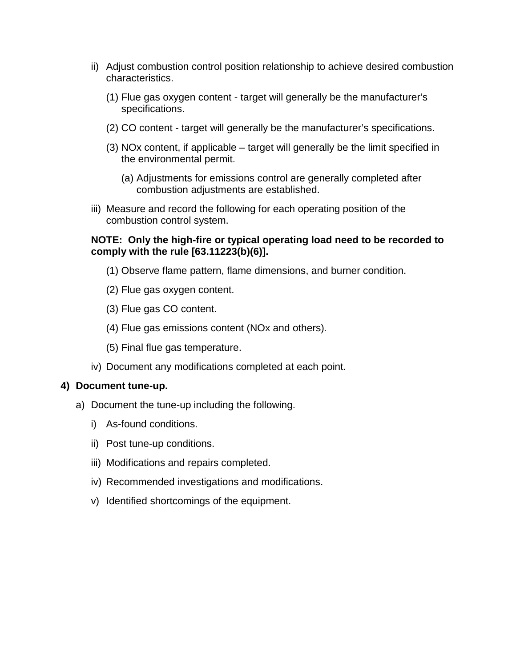- ii) Adjust combustion control position relationship to achieve desired combustion characteristics.
	- (1) Flue gas oxygen content target will generally be the manufacturer's specifications.
	- (2) CO content target will generally be the manufacturer's specifications.
	- (3) NOx content, if applicable target will generally be the limit specified in the environmental permit.
		- (a) Adjustments for emissions control are generally completed after combustion adjustments are established.
- iii) Measure and record the following for each operating position of the combustion control system.

### **NOTE: Only the high-fire or typical operating load need to be recorded to comply with the rule [63.11223(b)(6)].**

- (1) Observe flame pattern, flame dimensions, and burner condition.
- (2) Flue gas oxygen content.
- (3) Flue gas CO content.
- (4) Flue gas emissions content (NOx and others).
- (5) Final flue gas temperature.
- iv) Document any modifications completed at each point.

#### **4) Document tune-up.**

- a) Document the tune-up including the following.
	- i) As-found conditions.
	- ii) Post tune-up conditions.
	- iii) Modifications and repairs completed.
	- iv) Recommended investigations and modifications.
	- v) Identified shortcomings of the equipment.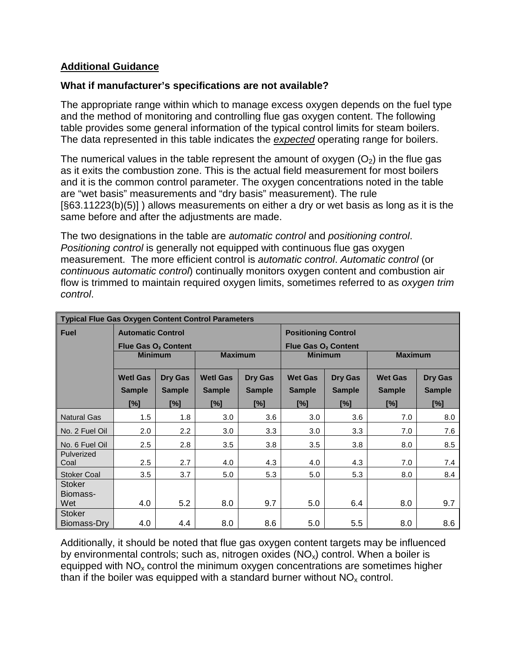## **Additional Guidance**

## **What if manufacturer's specifications are not available?**

The appropriate range within which to manage excess oxygen depends on the fuel type and the method of monitoring and controlling flue gas oxygen content. The following table provides some general information of the typical control limits for steam boilers. The data represented in this table indicates the *expected* operating range for boilers.

The numerical values in the table represent the amount of oxygen  $(O<sub>2</sub>)$  in the flue gas as it exits the combustion zone. This is the actual field measurement for most boilers and it is the common control parameter. The oxygen concentrations noted in the table are "wet basis" measurements and "dry basis" measurement). The rule [§63.11223(b)(5)] ) allows measurements on either a dry or wet basis as long as it is the same before and after the adjustments are made.

The two designations in the table are *automatic control* and *positioning control*. *Positioning control* is generally not equipped with continuous flue gas oxygen measurement. The more efficient control is *automatic control*. *Automatic control* (or *continuous automatic control*) continually monitors oxygen content and combustion air flow is trimmed to maintain required oxygen limits, sometimes referred to as *oxygen trim control*.

| <b>Typical Flue Gas Oxygen Content Control Parameters</b> |                                 |               |                 |               |                                 |               |                |               |
|-----------------------------------------------------------|---------------------------------|---------------|-----------------|---------------|---------------------------------|---------------|----------------|---------------|
| <b>Fuel</b>                                               | <b>Automatic Control</b>        |               |                 |               | <b>Positioning Control</b>      |               |                |               |
|                                                           | Flue Gas O <sub>2</sub> Content |               |                 |               | Flue Gas O <sub>2</sub> Content |               |                |               |
|                                                           | <b>Minimum</b>                  |               | <b>Maximum</b>  |               | <b>Minimum</b>                  |               | <b>Maximum</b> |               |
|                                                           | <b>Wetl Gas</b>                 | Dry Gas       | <b>Wetl Gas</b> | Dry Gas       | <b>Wet Gas</b>                  | Dry Gas       | <b>Wet Gas</b> | Dry Gas       |
|                                                           | <b>Sample</b>                   | <b>Sample</b> | <b>Sample</b>   | <b>Sample</b> | <b>Sample</b>                   | <b>Sample</b> | <b>Sample</b>  | <b>Sample</b> |
|                                                           | [%]                             | [%]           | [%]             | [%]           | $[\%]$                          | [%]           | [%]            | [%]           |
| <b>Natural Gas</b>                                        | 1.5                             | 1.8           | 3.0             | 3.6           | 3.0                             | 3.6           | 7.0            | 8.0           |
| No. 2 Fuel Oil                                            | 2.0                             | 2.2           | 3.0             | 3.3           | 3.0                             | 3.3           | 7.0            | 7.6           |
| No. 6 Fuel Oil                                            | 2.5                             | 2.8           | 3.5             | 3.8           | 3.5                             | 3.8           | 8.0            | 8.5           |
| Pulverized                                                |                                 | 2.7           |                 |               |                                 |               | 7.0            |               |
| Coal                                                      | 2.5                             |               | 4.0             | 4.3           | 4.0                             | 4.3           |                | 7.4           |
| <b>Stoker Coal</b>                                        | 3.5                             | 3.7           | 5.0             | 5.3           | 5.0                             | 5.3           | 8.0            | 8.4           |
| <b>Stoker</b>                                             |                                 |               |                 |               |                                 |               |                |               |
| Biomass-                                                  |                                 |               |                 |               |                                 |               |                |               |
| Wet                                                       | 4.0                             | 5.2           | 8.0             | 9.7           | 5.0                             | 6.4           | 8.0            | 9.7           |
| <b>Stoker</b>                                             |                                 |               |                 |               |                                 |               |                |               |
| Biomass-Dry                                               | 4.0                             | 4.4           | 8.0             | 8.6           | 5.0                             | 5.5           | 8.0            | 8.6           |

Additionally, it should be noted that flue gas oxygen content targets may be influenced by environmental controls; such as, nitrogen oxides  $(NO_x)$  control. When a boiler is equipped with  $NO<sub>x</sub>$  control the minimum oxygen concentrations are sometimes higher than if the boiler was equipped with a standard burner without  $NO<sub>x</sub>$  control.